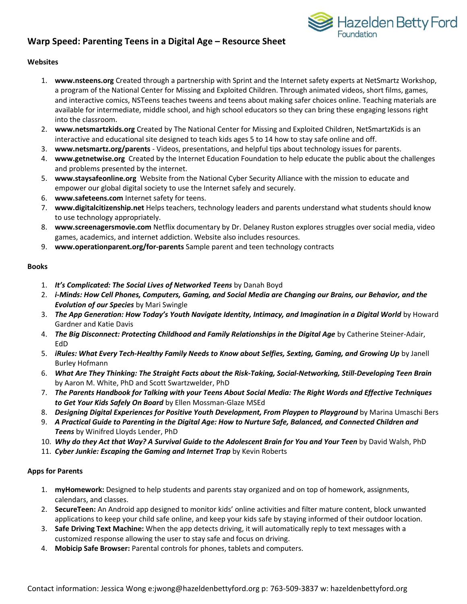# **Warp Speed: Parenting Teens in a Digital Age – Resource Sheet**



#### **Websites**

- 1. **www.nsteens.org** Created through a partnership with Sprint and the Internet safety experts at NetSmartz Workshop, a program of the National Center for Missing and Exploited Children. Through animated videos, short films, games, and interactive comics, NSTeens teaches tweens and teens about making safer choices online. Teaching materials are available for intermediate, middle school, and high school educators so they can bring these engaging lessons right into the classroom.
- 2. **www.netsmartzkids.org** Created by The National Center for Missing and Exploited Children, NetSmartzKids is an interactive and educational site designed to teach kids ages 5 to 14 how to stay safe online and off.
- 3. **www.netsmartz.org/parents** Videos, presentations, and helpful tips about technology issues for parents.
- 4. **www.getnetwise.org** Created by the Internet Education Foundation to help educate the public about the challenges and problems presented by the internet.
- 5. **www.staysafeonline.org** Website from the National Cyber Security Alliance with the mission to educate and empower our global digital society to use the Internet safely and securely.
- 6. **www.safeteens.com** Internet safety for teens.
- 7. **www.digitalcitizenship.net** Helps teachers, technology leaders and parents understand what students should know to use technology appropriately.
- 8. **www.screenagersmovie.com** Netflix documentary by Dr. Delaney Ruston explores struggles over social media, video games, academics, and internet addiction. Website also includes resources.
- 9. **www.operationparent.org/for-parents** Sample parent and teen technology contracts

#### **Books**

- 1. *It's Complicated: The Social Lives of Networked Teens* by Danah Boyd
- 2. *i-Minds: How Cell Phones, Computers, Gaming, and Social Media are Changing our Brains, our Behavior, and the Evolution of our Species* by Mari Swingle
- 3. *The App Generation: How Today's Youth Navigate Identity, Intimacy, and Imagination in a Digital World* by Howard Gardner and Katie Davis
- 4. *The Big Disconnect: Protecting Childhood and Family Relationships in the Digital Age* by Catherine Steiner-Adair, EdD
- 5. *iRules: What Every Tech-Healthy Family Needs to Know about Selfies, Sexting, Gaming, and Growing Up* by Janell Burley Hofmann
- 6. *What Are They Thinking: The Straight Facts about the Risk-Taking, Social-Networking, Still-Developing Teen Brain* by Aaron M. White, PhD and Scott Swartzwelder, PhD
- 7. *The Parents Handbook for Talking with your Teens About Social Media: The Right Words and Effective Techniques to Get Your Kids Safely On Board* by Ellen Mossman-Glaze MSEd
- 8. *Designing Digital Experiences for Positive Youth Development, From Playpen to Playground* by Marina Umaschi Bers
- 9. *A Practical Guide to Parenting in the Digital Age: How to Nurture Safe, Balanced, and Connected Children and Teens* by Winifred Lloyds Lender, PhD
- 10. *Why do they Act that Way? A Survival Guide to the Adolescent Brain for You and Your Teen* by David Walsh, PhD
- 11. *Cyber Junkie: Escaping the Gaming and Internet Trap* by Kevin Roberts

### **Apps for Parents**

- 1. **myHomework:** Designed to help students and parents stay organized and on top of homework, assignments, calendars, and classes.
- 2. **SecureTeen:** An Android app designed to monitor kids' online activities and filter mature content, block unwanted applications to keep your child safe online, and keep your kids safe by staying informed of their outdoor location.
- 3. **Safe Driving Text Machine:** When the app detects driving, it will automatically reply to text messages with a customized response allowing the user to stay safe and focus on driving.
- 4. **Mobicip Safe Browser:** Parental controls for phones, tablets and computers.